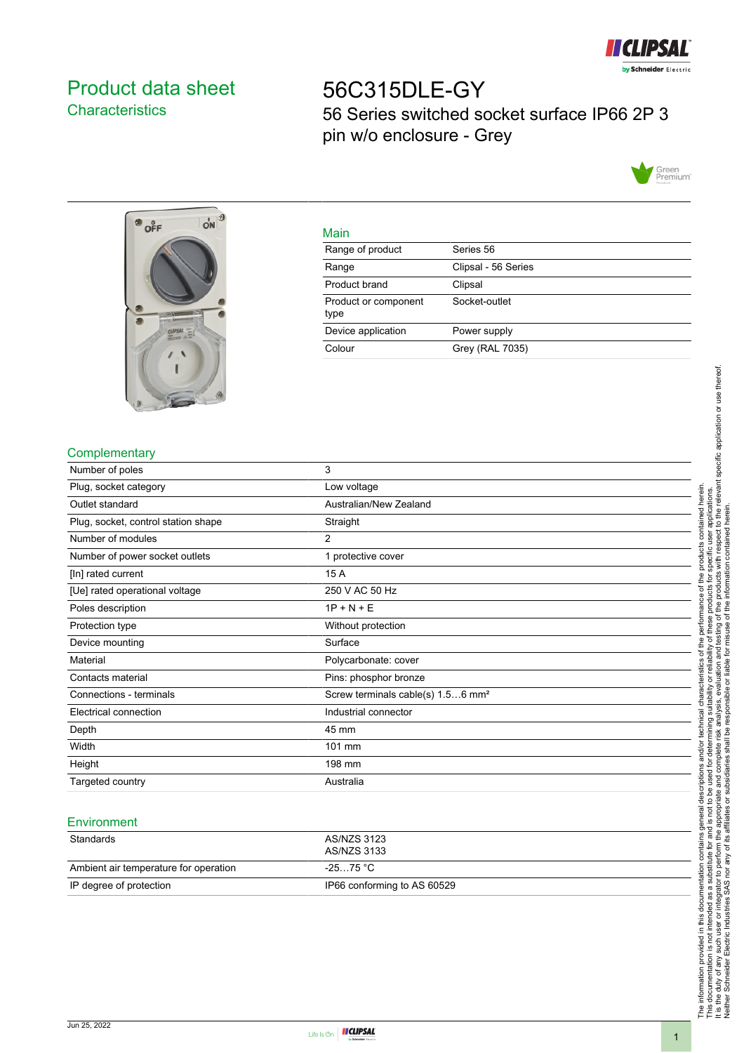

# <span id="page-0-0"></span>Product data sheet **Characteristics**

56C315DLE-GY 56 Series switched socket surface IP66 2P 3 pin w/o enclosure - Grey





|    | ۹ |
|----|---|
|    |   |
| __ |   |

| <u>iviali i</u>              |                     |
|------------------------------|---------------------|
| Range of product             | Series 56           |
| Range                        | Clipsal - 56 Series |
| Product brand                | Clipsal             |
| Product or component<br>type | Socket-outlet       |
| Device application           | Power supply        |
| Colour                       | Grey (RAL 7035)     |
|                              |                     |

## **Complementary**

| Number of poles                     | 3                                             |
|-------------------------------------|-----------------------------------------------|
| Plug, socket category               | Low voltage                                   |
| Outlet standard                     | Australian/New Zealand                        |
| Plug, socket, control station shape | Straight                                      |
| Number of modules                   | 2                                             |
| Number of power socket outlets      | 1 protective cover                            |
| [In] rated current                  | 15 A                                          |
| [Ue] rated operational voltage      | 250 V AC 50 Hz                                |
| Poles description                   | $1P + N + E$                                  |
| Protection type                     | Without protection                            |
| Device mounting                     | Surface                                       |
| Material                            | Polycarbonate: cover                          |
| Contacts material                   | Pins: phosphor bronze                         |
| Connections - terminals             | Screw terminals cable(s) 1.56 mm <sup>2</sup> |
| Electrical connection               | Industrial connector                          |
| Depth                               | 45 mm                                         |
| Width                               | 101 mm                                        |
| Height                              | 198 mm                                        |
| Targeted country                    | Australia                                     |

#### **Environment**

| Standards                             | AS/NZS 3123<br>AS/NZS 3133  |
|---------------------------------------|-----------------------------|
| Ambient air temperature for operation | -25…75 °C                   |
| IP degree of protection               | IP66 conforming to AS 60529 |